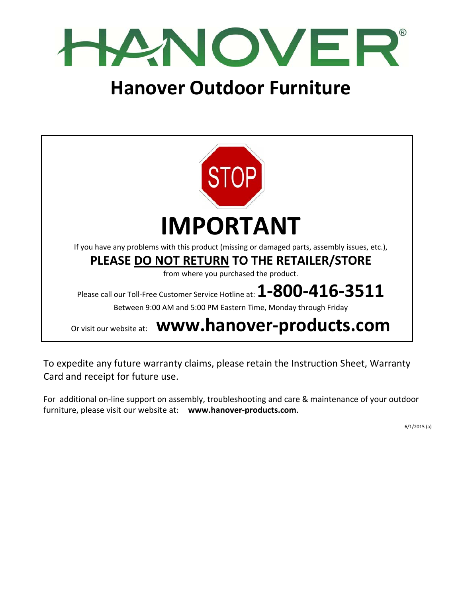

# **Hanover Outdoor Furniture**



To expedite any future warranty claims, please retain the Instruction Sheet, Warranty Card and receipt for future use.

For additional on‐line support on assembly, troubleshooting and care & maintenance of your outdoor furniture, please visit our website at: **www.hanover‐products.com**.

6/1/2015 (a)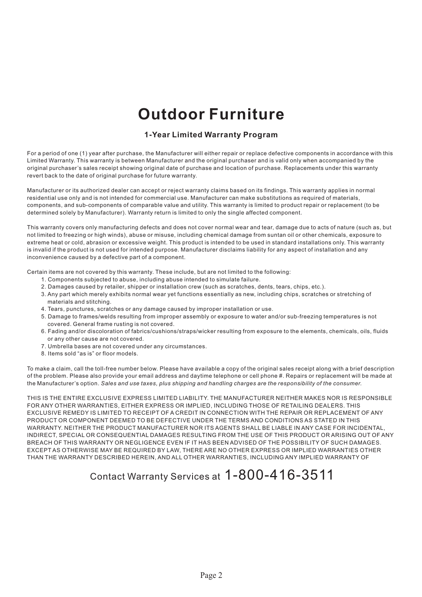# **Outdoor Furniture**

#### **1-Year Limited Warranty Program**

For a period of one (1) year after purchase, the Manufacturer will either repair or replace defective components in accordance with this Limited Warranty. This warranty is between Manufacturer and the original purchaser and is valid only when accompanied by the original purchaser's sales receipt showing original date of purchase and location of purchase. Replacements under this warranty revert back to the date of original purchase for future warranty.

Manufacturer or its authorized dealer can accept or reject warranty claims based on its findings. This warranty applies in normal residential use only and is not intended for commercial use. Manufacturer can make substitutions as required of materials, components, and sub-components of comparable value and utility. This warranty is limited to product repair or replacement (to be determined solely by Manufacturer). Warranty return is limited to only the single affected component.

This warranty covers only manufacturing defects and does not cover normal wear and tear, damage due to acts of nature (such as, but not limited to freezing or high winds), abuse or misuse, including chemical damage from suntan oil or other chemicals, exposure to extreme heat or cold, abrasion or excessive weight. This product is intended to be used in standard installations only. This warranty is invalid if the product is not used for intended purpose. Manufacturer disclaims liability for any aspect of installation and any inconvenience caused by a defective part of a component.

Certain items are not covered by this warranty. These include, but are not limited to the following:

- 1. Components subjected to abuse, including abuse intended to simulate failure.
- 2. Damages caused by retailer, shipper or installation crew (such as scratches, dents, tears, chips, etc.).
- 3. Any part which merely exhibits normal wear yet functions essentially as new, including chips, scratches or stretching of materials and stitching.
- 4. Tears, punctures, scratches or any damage caused by improper installation or use.
- 5. Damage to frames/welds resulting from improper assembly or exposure to water and/or sub-freezing temperatures is not covered. General frame rusting is not covered.
- 6. Fading and/or discoloration of fabrics/cushions/straps/wicker resulting from exposure to the elements, chemicals, oils, fluids or any other cause are not covered.
- 7. Umbrella bases are not covered under any circumstances.
- 8. Items sold "as is" or floor models.

To make a claim, call the toll-free number below. Please have available a copy of the original sales receipt along with a brief description of the problem. Please also provide your email address and daytime telephone or cell phone #. Repairs or replacement will be made at the Manufacturer's option. *Sales and use taxes, plus shipping and handling charges are the responsibility of the consumer.*

THIS IS THE ENTIRE EXCLUSIVE EXPRESS LIMITED LIABILITY. THE MANUFACTURER NEITHER MAKES NOR IS RESPONSIBLE FOR ANY OTHER WARRANTIES, EITHER EXPRESS OR IMPLIED, INCLUDING THOSE OF RETAILING DEALERS. THIS EXCLUSIVE REMEDY IS LIMITED TO RECEIPT OF A CREDIT IN CONNECTION WITH THE REPAIR OR REPLACEMENT OF ANY PRODUCT OR COMPONENT DEEMED TO BE DEFECTIVE UNDER THE TERMS AND CONDITIONS AS STATED IN THIS WARRANTY. NEITHER THE PRODUCT MANUFACTURER NOR ITS AGENTS SHALL BE LIABLE IN ANY CASE FOR INCIDENTAL, INDIRECT, SPECIAL OR CONSEQUENTIAL DAMAGES RESULTING FROM THE USE OF THIS PRODUCT OR ARISING OUT OF ANY BREACH OF THIS WARRANTY OR NEGLIGENCE EVEN IF IT HAS BEEN ADVISED OF THE POSSIBILITY OF SUCH DAMAGES. EXCEPT AS OTHERWISE MAY BE REQUIRED BY LAW, THERE ARE NO OTHER EXPRESS OR IMPLIED WARRANTIES OTHER THAN THE WARRANTY DESCRIBED HEREIN, AND ALL OTHER WARRANTIES, INCLUDING ANY IMPLIED WARRANTY OF

## Contact Warranty Services at 1-800-416-3511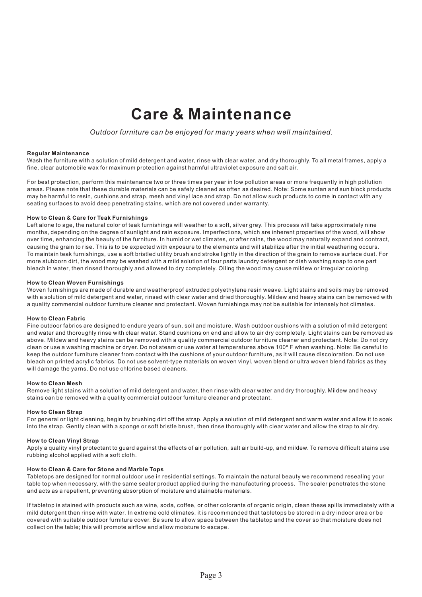# **Care & Maintenance**

*Outdoor furniture can be enjoyed for many years when well maintained.*

#### **Regular Maintenance**

Wash the furniture with a solution of mild detergent and water, rinse with clear water, and dry thoroughly. To all metal frames, apply a fine, clear automobile wax for maximum protection against harmful ultraviolet exposure and salt air.

For best protection, perform this maintenance two or three times per year in low pollution areas or more frequently in high pollution areas. Please note that these durable materials can be safely cleaned as often as desired. Note: Some suntan and sun block products may be harmful to resin, cushions and strap, mesh and vinyl lace and strap. Do not allow such products to come in contact with any seating surfaces to avoid deep penetrating stains, which are not covered under warranty.

#### **How to Clean & Care for Teak Furnishings**

Left alone to age, the natural color of teak furnishings will weather to a soft, silver grey. This process will take approximately nine months, depending on the degree of sunlight and rain exposure. Imperfections, which are inherent properties of the wood, will show over time, enhancing the beauty of the furniture. In humid or wet climates, or after rains, the wood may naturally expand and contract, causing the grain to rise. This is to be expected with exposure to the elements and will stabilize after the initial weathering occurs. To maintain teak furnishings, use a soft bristled utility brush and stroke lightly in the direction of the grain to remove surface dust. For more stubborn dirt, the wood may be washed with a mild solution of four parts laundry detergent or dish washing soap to one part bleach in water, then rinsed thoroughly and allowed to dry completely. Oiling the wood may cause mildew or irregular coloring.

#### **How to Clean Woven Furnishings**

Woven furnishings are made of durable and weatherproof extruded polyethylene resin weave. Light stains and soils may be removed with a solution of mild detergent and water, rinsed with clear water and dried thoroughly. Mildew and heavy stains can be removed with a quality commercial outdoor furniture cleaner and protectant. Woven furnishings may not be suitable for intensely hot climates.

#### **How to Clean Fabric**

Fine outdoor fabrics are designed to endure years of sun, soil and moisture. Wash outdoor cushions with a solution of mild detergent and water and thoroughly rinse with clear water. Stand cushions on end and allow to air dry completely. Light stains can be removed as above. Mildew and heavy stains can be removed with a quality commercial outdoor furniture cleaner and protectant. Note: Do not dry clean or use a washing machine or dryer. Do not steam or use water at temperatures above 100º F when washing. Note: Be careful to keep the outdoor furniture cleaner from contact with the cushions of your outdoor furniture, as it will cause discoloration. Do not use bleach on printed acrylic fabrics. Do not use solvent-type materials on woven vinyl, woven blend or ultra woven blend fabrics as they will damage the yarns. Do not use chlorine based cleaners.

#### **How to Clean Mesh**

Remove light stains with a solution of mild detergent and water, then rinse with clear water and dry thoroughly. Mildew and heavy stains can be removed with a quality commercial outdoor furniture cleaner and protectant.

#### **How to Clean Strap**

For general or light cleaning, begin by brushing dirt off the strap. Apply a solution of mild detergent and warm water and allow it to soak into the strap. Gently clean with a sponge or soft bristle brush, then rinse thoroughly with clear water and allow the strap to air dry.

#### **How to Clean Vinyl Strap**

Apply a quality vinyl protectant to guard against the effects of air pollution, salt air build-up, and mildew. To remove difficult stains use rubbing alcohol applied with a soft cloth.

#### **How to Clean & Care for Stone and Marble Tops**

Tabletops are designed for normal outdoor use in residential settings. To maintain the natural beauty we recommend resealing your table top when necessary, with the same sealer product applied during the manufacturing process. The sealer penetrates the stone and acts as a repellent, preventing absorption of moisture and stainable materials.

If tabletop is stained with products such as wine, soda, coffee, or other colorants of organic origin, clean these spills immediately with a mild detergent then rinse with water. In extreme cold climates, it is recommended that tabletops be stored in a dry indoor area or be covered with suitable outdoor furniture cover. Be sure to allow space between the tabletop and the cover so that moisture does not collect on the table; this will promote airflow and allow moisture to escape.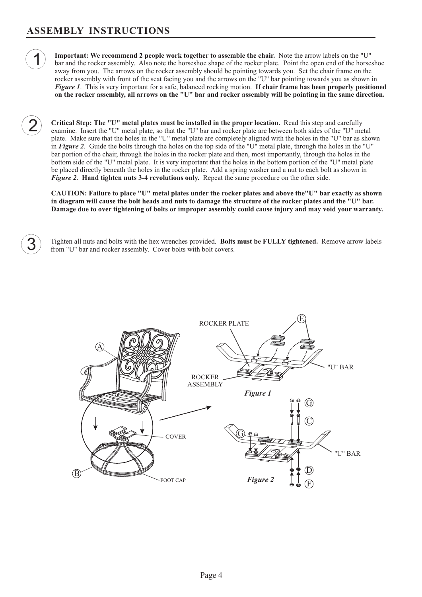1

2

**Important: We recommend 2 people work together to assemble the chair.** Note the arrow labels on the "U" **Figure 1**. This is very important for a safe, balanced rocking motion. If **chair frame has been properly positioned**<br>on the rocker assembly, all arrows on the "U" bar and rocker assembly will be pointing in the same direc **on the rocker assembly, all arrows on the "U" bar and rocker assembly will be pointing in the same direction.** bar and the rocker assembly. Also note the horseshoe shape of the rocker plate. Point the open end of the horseshoe away from you. The arrows on the rocker assembly should be pointing towards you. Set the chair frame on the rocker assembly with front of the seat facing you and the arrows on the "U" bar pointing towards you as shown in

**Critical Step: The "U" metal plates must be installed in the proper location.** Read this step and carefully *Figure 2.* **Hand tighten nuts 3-4 revolutions only.** Repeat the same procedure on the other side. examine. Insert the "U" metal plate, so that the "U" bar and rocker plate are between both sides of the "U" metal plate. Make sure that the holes in the "U" metal plate are completely aligned with the holes in the "U" bar as shown in Figure 2. Guide the bolts through the holes on the top side of the "U" metal plate, through the holes in the "U" bar portion of the chair, through the holes in the rocker plate and then, most importantly, through the holes in the bottom side of the "U" metal plate. It is very important that the holes in the bottom portion of the "U" metal plate be placed directly beneath the holes in the rocker plate. Add a spring washer and a nut to each bolt as shown in

**CAUTION: Failure to place "U" metal plates under the rocker plates and above the"U" bar exactly as shown in diagram will cause the bolt heads and nuts to damage the structure of the rocker plates and the "U" bar. Damage due to over tightening of bolts or improper assembly could cause injury and may void your warranty.**

**3** Tighten all nuts and bolts with the hex wrenches provided. Bolts must be FULLY tightened. Remove arrow labels from "U" bar and rocker assembly. Cover bolts with bolt covers. from "U" bar and rocker assembly. Cover bolts with bolt covers.

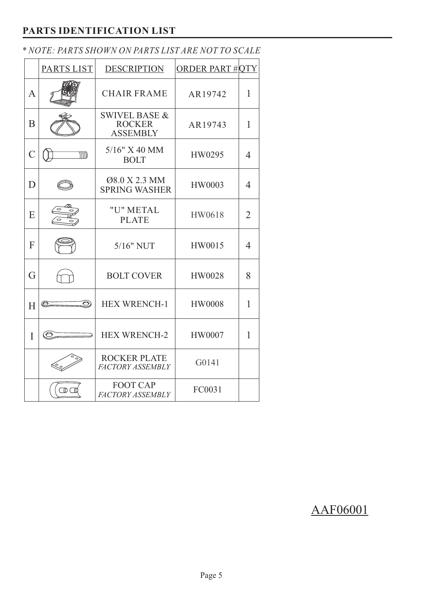### **PARTS IDENTIFICATION LIST**

|                | PARTS LIST           | <b>DESCRIPTION</b>                                           | <b>ORDER PART #OTY</b> |                |
|----------------|----------------------|--------------------------------------------------------------|------------------------|----------------|
| A              |                      | <b>CHAIR FRAME</b>                                           | AR19742                | 1              |
| B              |                      | <b>SWIVEL BASE &amp;</b><br><b>ROCKER</b><br><b>ASSEMBLY</b> | AR19743                | 1              |
| $\overline{C}$ | <i><b>MTD</b></i>    | 5/16" X 40 MM<br><b>BOLT</b>                                 | HW0295                 | $\overline{4}$ |
| D              |                      | Ø8.0 X 2.3 MM<br><b>SPRING WASHER</b>                        | HW0003                 | $\overline{4}$ |
| E              |                      | "U" METAL<br><b>PLATE</b>                                    | HW0618                 | $\overline{2}$ |
| F              |                      | 5/16" NUT                                                    | HW0015                 | $\overline{4}$ |
| G              |                      | <b>BOLT COVER</b>                                            | HW0028                 | 8              |
| H              | $\circledcirc$<br>O) | <b>HEX WRENCH-1</b>                                          | <b>HW0008</b>          | 1              |
| $\mathbf{I}$   | C                    | <b>HEX WRENCH-2</b>                                          | <b>HW0007</b>          | 1              |
|                |                      | <b>ROCKER PLATE</b><br><b>FACTORY ASSEMBLY</b>               | G0141                  |                |
|                | $\Box$               | <b>FOOT CAP</b><br><b>FACTORY ASSEMBLY</b>                   | FC0031                 |                |

## *\* NOTE: PARTS SHOWN ON PARTS LIST ARE NOT TO SCALE*

## AAF06001